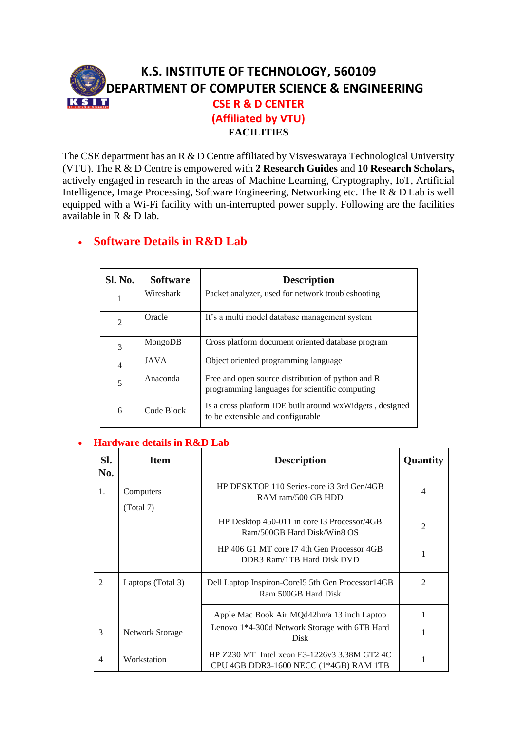## **K.S. INSTITUTE OF TECHNOLOGY, 560109 DEPARTMENT OF COMPUTER SCIENCE & ENGINEERING** KSIT **CSE R & D CENTER (Affiliated by VTU) FACILITIES**

The CSE department has an R & D Centre affiliated by Visveswaraya Technological University (VTU). The R & D Centre is empowered with **2 Research Guides** and **10 Research Scholars,** actively engaged in research in the areas of Machine Learning, Cryptography, IoT, Artificial Intelligence, Image Processing, Software Engineering, Networking etc. The R & D Lab is well equipped with a Wi-Fi facility with un-interrupted power supply. Following are the facilities available in R & D lab.

## • **Software Details in R&D Lab**

| Sl. No.        | <b>Software</b> | <b>Description</b>                                                                                  |
|----------------|-----------------|-----------------------------------------------------------------------------------------------------|
| 1              | Wireshark       | Packet analyzer, used for network troubleshooting                                                   |
| $\overline{2}$ | Oracle          | It's a multi model database management system                                                       |
| 3              | MongoDB         | Cross platform document oriented database program                                                   |
| $\overline{4}$ | <b>JAVA</b>     | Object oriented programming language                                                                |
| 5              | Anaconda        | Free and open source distribution of python and R<br>programming languages for scientific computing |
| 6              | Code Block      | Is a cross platform IDE built around wxWidgets, designed<br>to be extensible and configurable       |

## • **Hardware details in R&D Lab**

| SI.<br>No. | <b>Item</b>            | <b>Description</b>                                                                     | Quantity       |
|------------|------------------------|----------------------------------------------------------------------------------------|----------------|
| 1.         | Computers<br>(Total 7) | HP DESKTOP 110 Series-core i3 3rd Gen/4GB<br>RAM ram/500 GB HDD                        | 4              |
|            |                        | HP Desktop 450-011 in core I3 Processor/4GB<br>Ram/500GB Hard Disk/Win8 OS             | $\mathfrak{D}$ |
|            |                        | HP 406 G1 MT core I7 4th Gen Processor 4GB<br>DDR3 Ram/1TB Hard Disk DVD               |                |
| 2          | Laptops (Total 3)      | Dell Laptop Inspiron-Corel 55th Gen Processor14GB<br>Ram 500GB Hard Disk               | $\mathfrak{D}$ |
|            |                        | Apple Mac Book Air MQd42hn/a 13 inch Laptop                                            |                |
| 3          | Network Storage        | Lenovo 1*4-300d Network Storage with 6TB Hard<br><b>Disk</b>                           |                |
| 4          | Workstation            | HP Z230 MT Intel xeon E3-1226v3 3.38M GT2 4C<br>CPU 4GB DDR3-1600 NECC (1*4GB) RAM 1TB |                |